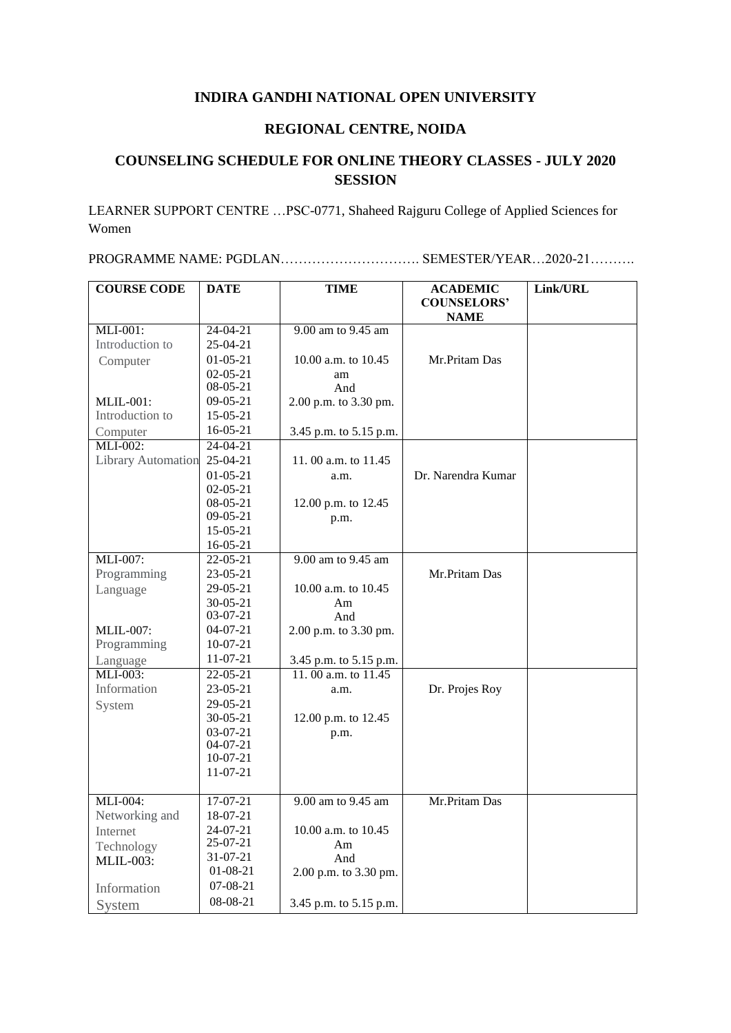## **INDIRA GANDHI NATIONAL OPEN UNIVERSITY**

## **REGIONAL CENTRE, NOIDA**

## **COUNSELING SCHEDULE FOR ONLINE THEORY CLASSES - JULY 2020 SESSION**

LEARNER SUPPORT CENTRE …PSC-0771, Shaheed Rajguru College of Applied Sciences for Women

PROGRAMME NAME: PGDLAN…………………………. SEMESTER/YEAR…2020-21……….

| <b>COURSE CODE</b>        | <b>DATE</b>    | TIME                   | <b>ACADEMIC</b>                   | Link/URL |
|---------------------------|----------------|------------------------|-----------------------------------|----------|
|                           |                |                        | <b>COUNSELORS'</b><br><b>NAME</b> |          |
| MLI-001:                  | $24-04-21$     | 9.00 am to 9.45 am     |                                   |          |
| Introduction to           | $25-04-21$     |                        |                                   |          |
| Computer                  | $01-05-21$     | 10.00 a.m. to 10.45    | Mr.Pritam Das                     |          |
|                           | $02 - 05 - 21$ | am                     |                                   |          |
|                           | 08-05-21       | And                    |                                   |          |
| $MLIL-001$ :              | $09-05-21$     | 2.00 p.m. to 3.30 pm.  |                                   |          |
| Introduction to           | 15-05-21       |                        |                                   |          |
| Computer                  | $16-05-21$     | 3.45 p.m. to 5.15 p.m. |                                   |          |
| $MLI-002$ :               | 24-04-21       |                        |                                   |          |
| <b>Library Automation</b> | $25-04-21$     | 11.00 a.m. to $11.45$  |                                   |          |
|                           | $01 - 05 - 21$ | a.m.                   | Dr. Narendra Kumar                |          |
|                           | $02-05-21$     |                        |                                   |          |
|                           | 08-05-21       | 12.00 p.m. to 12.45    |                                   |          |
|                           | $09-05-21$     | p.m.                   |                                   |          |
|                           | $15-05-21$     |                        |                                   |          |
|                           | $16-05-21$     |                        |                                   |          |
| MLI-007:                  | $22 - 05 - 21$ | 9.00 am to 9.45 am     |                                   |          |
| Programming               | 23-05-21       |                        | Mr.Pritam Das                     |          |
| Language                  | 29-05-21       | 10.00 a.m. to $10.45$  |                                   |          |
|                           | $30-05-21$     | Am                     |                                   |          |
|                           | 03-07-21       | And                    |                                   |          |
| <b>MLIL-007:</b>          | 04-07-21       | 2.00 p.m. to 3.30 pm.  |                                   |          |
| Programming               | $10-07-21$     |                        |                                   |          |
| Language                  | 11-07-21       | 3.45 p.m. to 5.15 p.m. |                                   |          |
| MLI-003:                  | 22-05-21       | 11.00 a.m. to 11.45    |                                   |          |
| Information               | 23-05-21       | a.m.                   | Dr. Projes Roy                    |          |
| System                    | 29-05-21       |                        |                                   |          |
|                           | $30 - 05 - 21$ | 12.00 p.m. to 12.45    |                                   |          |
|                           | 03-07-21       | p.m.                   |                                   |          |
|                           | 04-07-21       |                        |                                   |          |
|                           | $10-07-21$     |                        |                                   |          |
|                           | $11-07-21$     |                        |                                   |          |
| MLI-004:                  | $17-07-21$     | 9.00 am to 9.45 am     | Mr.Pritam Das                     |          |
| Networking and            | 18-07-21       |                        |                                   |          |
| Internet                  | 24-07-21       | 10.00 a.m. to 10.45    |                                   |          |
| Technology                | 25-07-21       | Am                     |                                   |          |
| <b>MLIL-003:</b>          | 31-07-21       | And                    |                                   |          |
|                           | 01-08-21       | 2.00 p.m. to 3.30 pm.  |                                   |          |
| Information               | 07-08-21       |                        |                                   |          |
| System                    | 08-08-21       | 3.45 p.m. to 5.15 p.m. |                                   |          |